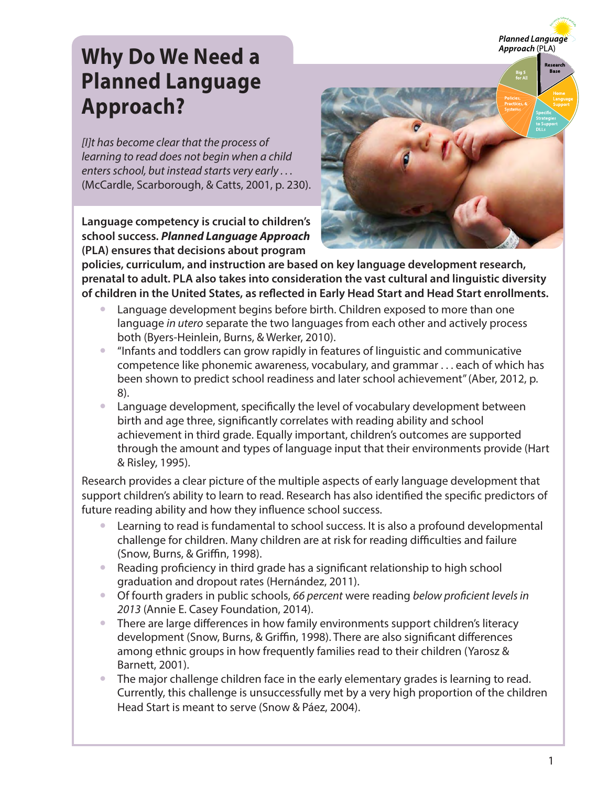

## **Why Do We Need a Planned Language Approach?**

*[I]t has become clear that the process of learning to read does not begin when a child enters school, but instead starts very early . . .*  (McCardle, Scarborough, & Catts, 2001, p. 230).

**Language competency is crucial to children's school success.** *Planned Language Approach* **(PLA) ensures that decisions about program** 



**policies, curriculum, and instruction are based on key language development research, prenatal to adult. PLA also takes into consideration the vast cultural and linguistic diversity of children in the United States, as reflected in Early Head Start and Head Start enrollments.**

- Language development begins before birth. Children exposed to more than one language *in utero* separate the two languages from each other and actively process both (Byers-Heinlein, Burns, & Werker, 2010).
- "Infants and toddlers can grow rapidly in features of linguistic and communicative competence like phonemic awareness, vocabulary, and grammar . . . each of which has been shown to predict school readiness and later school achievement" (Aber, 2012, p. 8).
- Language development, specifically the level of vocabulary development between birth and age three, significantly correlates with reading ability and school achievement in third grade. Equally important, children's outcomes are supported through the amount and types of language input that their environments provide (Hart & Risley, 1995).

Research provides a clear picture of the multiple aspects of early language development that support children's ability to learn to read. Research has also identified the specific predictors of future reading ability and how they influence school success.

- Learning to read is fundamental to school success. It is also a profound developmental challenge for children. Many children are at risk for reading difficulties and failure (Snow, Burns, & Griffin, 1998).
- Reading proficiency in third grade has a significant relationship to high school graduation and dropout rates (Hernández, 2011).
- y Of fourth graders in public schools, *66 percent* were reading *below proficient levels in 2013* (Annie E. Casey Foundation, 2014).
- There are large differences in how family environments support children's literacy development (Snow, Burns, & Griffin, 1998). There are also significant differences among ethnic groups in how frequently families read to their children (Yarosz & Barnett, 2001).
- The major challenge children face in the early elementary grades is learning to read. Currently, this challenge is unsuccessfully met by a very high proportion of the children Head Start is meant to serve (Snow & Páez, 2004).